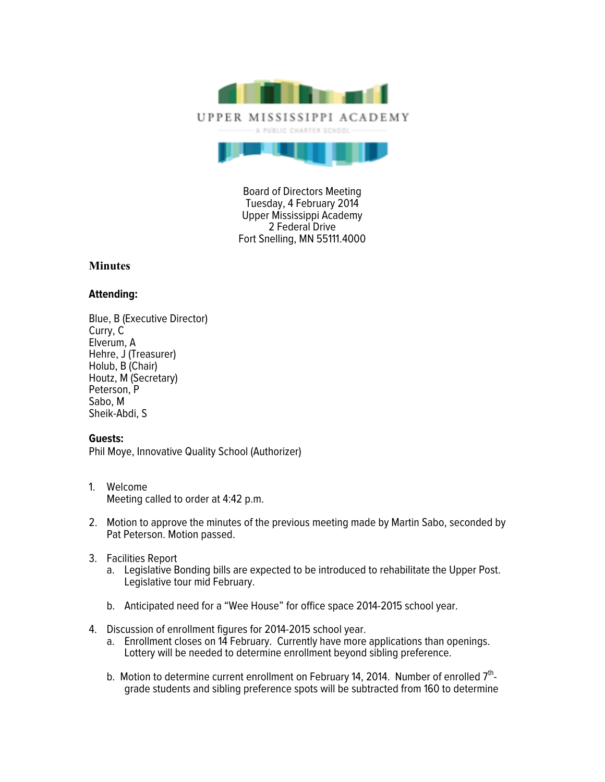

Board of Directors Meeting Tuesday, 4 February 2014 Upper Mississippi Academy 2 Federal Drive Fort Snelling, MN 55111.4000

## **Minutes**

## **Attending:**

Blue, B (Executive Director) Curry, C Elverum, A Hehre, J (Treasurer) Holub, B (Chair) Houtz, M (Secretary) Peterson, P Sabo, M Sheik-Abdi, S

## **Guests:**

Phil Moye, Innovative Quality School (Authorizer)

- 1. Welcome Meeting called to order at 4:42 p.m.
- 2. Motion to approve the minutes of the previous meeting made by Martin Sabo, seconded by Pat Peterson. Motion passed.
- 3. Facilities Report
	- a. Legislative Bonding bills are expected to be introduced to rehabilitate the Upper Post. Legislative tour mid February.
	- b. Anticipated need for a "Wee House" for office space 2014-2015 school year.
- 4. Discussion of enrollment figures for 2014-2015 school year.
	- a. Enrollment closes on 14 February. Currently have more applications than openings. Lottery will be needed to determine enrollment beyond sibling preference.
	- b. Motion to determine current enrollment on February 14, 2014. Number of enrolled  $7<sup>th</sup>$ grade students and sibling preference spots will be subtracted from 160 to determine